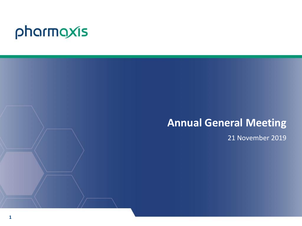# pharmaxis

## **Annual General Meeting**

21 November 2019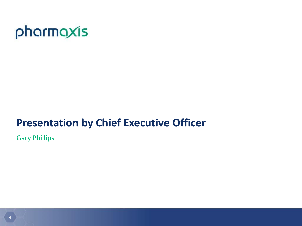

## **Presentation by Chief Executive Officer**

Gary Phillips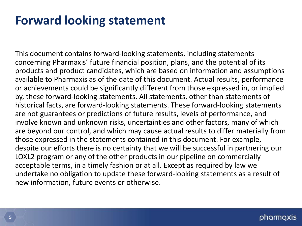## **Forward looking statement**

This document contains forward-looking statements, including statements concerning Pharmaxis' future financial position, plans, and the potential of its products and product candidates, which are based on information and assumptions available to Pharmaxis as of the date of this document. Actual results, performance or achievements could be significantly different from those expressed in, or implied by, these forward-looking statements. All statements, other than statements of historical facts, are forward-looking statements. These forward-looking statements are not guarantees or predictions of future results, levels of performance, and involve known and unknown risks, uncertainties and other factors, many of which are beyond our control, and which may cause actual results to differ materially from those expressed in the statements contained in this document. For example, despite our efforts there is no certainty that we will be successful in partnering our LOXL2 program or any of the other products in our pipeline on commercially acceptable terms, in a timely fashion or at all. Except as required by law we undertake no obligation to update these forward-looking statements as a result of new information, future events or otherwise.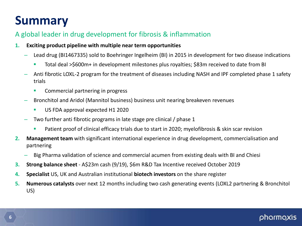## **Summary**

## A global leader in drug development for fibrosis & inflammation

- **1. Exciting product pipeline with multiple near term opportunities**
	- Lead drug (BI1467335) sold to Boehringer Ingelheim (BI) in 2015 in development for two disease indications
		- Total deal >\$600m+ in development milestones plus royalties; \$83m received to date from BI
	- Anti fibrotic LOXL-2 program for the treatment of diseases including NASH and IPF completed phase 1 safety trials
		- Commercial partnering in progress
	- Bronchitol and Aridol (Mannitol business) business unit nearing breakeven revenues
		- US FDA approval expected H1 2020
	- Two further anti fibrotic programs in late stage pre clinical / phase 1
		- **Patient proof of clinical efficacy trials due to start in 2020; myelofibrosis & skin scar revision**
- **2. Management team** with significant international experience in drug development, commercialisation and partnering
	- Big Pharma validation of science and commercial acumen from existing deals with BI and Chiesi
- **3. Strong balance sheet**  A\$23m cash (9/19), \$6m R&D Tax Incentive received October 2019
- **4. Specialist** US, UK and Australian institutional **biotech investors** on the share register
- **5. Numerous catalysts** over next 12 months including two cash generating events (LOXL2 partnering & Bronchitol US)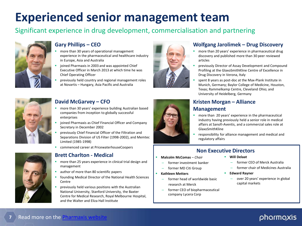## **Experienced senior management team**

## Significant experience in drug development, commercialisation and partnering



#### **Gary Phillips – CEO**

- more than 30 years of operational management experience in the pharmaceutical and healthcare industry in Europe, Asia and Australia
- joined Pharmaxis in 2003 and was appointed Chief Executive Officer in March 2013 at which time he was Chief Operating Officer
- previously held country and regional management roles at Novartis – Hungary, Asia Pacific and Australia



#### **David McGarvey – CFO**

- more than 30 years' experience building Australian based companies from inception to globally successful enterprises
- joined Pharmaxis as Chief Financial Officer and Company Secretary in December 2002
- previously Chief Financial Officer of the Filtration and Separations Division of US Filter (1998-2002), and Memtec Limited (1985-1998)
- commenced career at PricewaterhouseCoopers



#### **Brett Charlton - Medical**

- more than 25 years experience in clinical trial design and management
- author of more than 80 scientific papers
- founding Medical Director of the National Health Sciences **Centre**
- previously held various positions with the Australian National University, Stanford University, the Baxter Centre for Medical Research, Royal Melbourne Hospital, and the Walter and Eliza Hall Institute



#### **Wolfgang Jarolimek – Drug Discovery**

- **n** more than 20 years' experience in pharmaceutical drug discovery and published more than 30 peer reviewed articles
- previously Director of Assay Development and Compound Profiling at the GlaxoSmithKline Centre of Excellence in Drug Discovery in Verona, Italy
- spent 8 years as post-doc at the Max-Plank Institute in Munich, Germany; Baylor College of Medicine, Houston, Texas; Rammelkamp Centre, Cleveland Ohio; and University of Heidelberg, Germany



#### **Kristen Morgan – Alliance Management**

- **n** more than 20 years' experience in the pharmaceutical industry having previously held a senior role in medical affairs at Sanofi-Aventis, and a commercial sales role at GlaxoSmithKline
- **•** responsibility for alliance management and medical and regulatory affairs

#### **Non Executive Directors**

- **Malcolm McComas**  *Chair*
	- former investment banker
	- former MD Citi Group

#### **Kathleen Metters**

- former head of worldwide basic research at Merck
- former CEO of biopharmaceutical company Lycera Corp
- **Will Delaat**
	- former CEO of Merck Australia
	- former chair of Medicines Australia
- **Edward Rayner**
	- over 20 years' experience in global capital markets

#### **7** Read more on the [Pharmaxis website](http://www.pharmaxis.com.au/about/our-people/)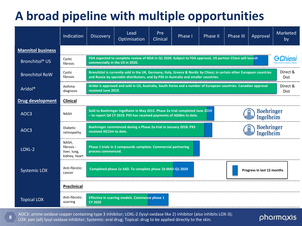## **A broad pipeline with multiple opportunities**

|                            | Indication                                           | <b>Discovery</b>                                                                                                                                                                                                | Lead<br>Optimisation                                          | Pre<br>Clinical | Phase I | Phase II | Phase III               | Approval                   | Marketed<br>by |
|----------------------------|------------------------------------------------------|-----------------------------------------------------------------------------------------------------------------------------------------------------------------------------------------------------------------|---------------------------------------------------------------|-----------------|---------|----------|-------------------------|----------------------------|----------------|
| <b>Mannitol business</b>   |                                                      |                                                                                                                                                                                                                 |                                                               |                 |         |          |                         |                            |                |
| Bronchitol <sup>®</sup> US | Cystic<br>fibrosis                                   | FDA expected to complete review of NDA in Q1 2020. Subject to FDA approval, US partner Chiesi will launch<br>commercially in the US in 2020.                                                                    |                                                               |                 |         |          | <b>GChiesi</b>          |                            |                |
| <b>Bronchitol RoW</b>      | Cystic<br>fibrosis                                   | Bronchitol is currently sold in the UK, Germany, Italy, Greece & Nordic by Chiesi; in certain other European countries<br>and Russia by specialist distributors; and by PXS in Australia and smaller countries. |                                                               |                 |         |          | Direct &<br><b>Dist</b> |                            |                |
| Aridol®                    | Asthma<br>diagnosis                                  | Aridol is approved and sold in US, Australia, South Korea and a number of European countries. Canadian approval<br>received June 2019.                                                                          |                                                               |                 |         |          | Direct &<br><b>Dist</b> |                            |                |
| <b>Drug development</b>    | <b>Clinical</b>                                      |                                                                                                                                                                                                                 |                                                               |                 |         |          |                         |                            |                |
| AOC3                       | <b>NASH</b>                                          | <b>Boehringer</b><br>Sold to Boehringer Ingelheim in May 2015. Phase 2a trial completed June 2019<br>- to report Q4 CY 2019. PXS has received payments of A\$68m to date.<br>Ingelheim                          |                                                               |                 |         |          |                         |                            |                |
| AOC <sub>3</sub>           | <b>Diabetic</b><br>retinopathy                       | <b>Boehringer</b><br>Boehringer commenced dosing a Phase 2a trial in January 2018. PXS<br>received A\$15m to date.<br>Ingelheim                                                                                 |                                                               |                 |         |          |                         |                            |                |
| LOXL-2                     | NASH,<br>fibrosis -<br>liver, lung,<br>kidney, heart | process commenced.                                                                                                                                                                                              | Phase 1 trials in 2 compounds complete. Commercial partnering |                 |         |          |                         |                            |                |
| <b>Systemic LOX</b>        | Anti-fibrotic:<br>cancer                             |                                                                                                                                                                                                                 | Completed phase 1a SAD. To complete phase 1b MAD Q1 2020      |                 |         |          |                         | Progress in last 12 months |                |
|                            | <b>Preclinical</b>                                   |                                                                                                                                                                                                                 |                                                               |                 |         |          |                         |                            |                |
| <b>Topical LOX</b>         | Anti-fibrotic:<br>scarring                           | <b>CY 2020</b>                                                                                                                                                                                                  | Effective in scarring models. Commence phase 1                |                 |         |          |                         |                            |                |

AOC3: amine oxidase copper containing type 3 inhibitor; LOXL-2 (lysyl oxidase like 2) inhibitor (also inhibits LOX-3); LOX: pan (all) lysyl oxidase inhibitor; Systemic: oral drug; Topical: drug to be applied directly to the skin.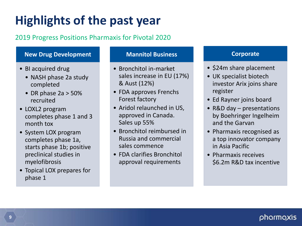# **Highlights of the past year**

## 2019 Progress Positions Pharmaxis for Pivotal 2020

#### **New Drug Development**

- BI acquired drug
	- NASH phase 2a study completed
	- DR phase 2a > 50% recruited
- LOXL2 program completes phase 1 and 3 month tox
- System LOX program completes phase 1a, starts phase 1b; positive preclinical studies in myelofibrosis
- Topical LOX prepares for phase 1

#### **Mannitol Business**

- Bronchitol in-market sales increase in EU (17%) & Aust (12%)
- FDA approves Frenchs Forest factory
- Aridol relaunched in US, approved in Canada. Sales up 55%
- Bronchitol reimbursed in Russia and commercial sales commence
- FDA clarifies Bronchitol approval requirements

#### **Corporate**

- \$24m share placement
- UK specialist biotech investor Arix joins share register
- Ed Rayner joins board
- R&D day presentations by Boehringer Ingelheim and the Garvan
- Pharmaxis recognised as a top innovator company in Asia Pacific
- Pharmaxis receives \$6.2m R&D tax incentive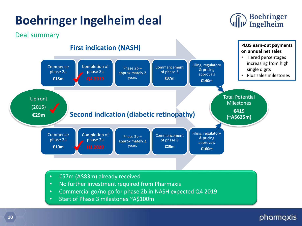## **Boehringer Ingelheim deal**





- No further investment required from Pharmaxis
- Commercial go/no go for phase 2b in NASH expected Q4 2019
- Start of Phase 3 milestones ~A\$100m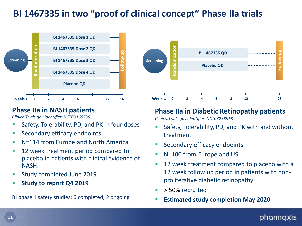## **BI 1467335 in two "proof of clinical concept" Phase IIa trials**



### **Phase IIa in NASH patients**

*ClinicalTrials.gov Identifier: NCT03166735*

- Safety, Tolerability, PD, and PK in four doses
- Secondary efficacy endpoints
- N=114 from Europe and North America
- 12 week treatment period compared to placebo in patients with clinical evidence of NASH.
- Study completed June 2019
- **Study to report Q4 2019**

BI phase 1 safety studies: 6 completed, 2 ongoing



### **Phase IIa in Diabetic Retinopathy patients**

*ClinicalTrials.gov Identifier: NCT03238963*

- Safety, Tolerability, PD, and PK with and without treatment
- Secondary efficacy endpoints
- N=100 from Europe and US
- **12** week treatment compared to placebo with a 12 week follow up period in patients with nonproliferative diabetic retinopathy
- > 50% recruited
- **Estimated study completion May 2020**

#### pharma; y.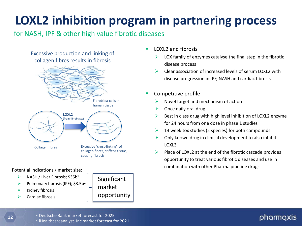# **LOXL2 inhibition program in partnering process**

### for NASH, IPF & other high value fibrotic diseases



Potential indications / market size:

- $\triangleright$  NASH / Liver Fibrosis; \$35b<sup>1</sup>
- Pulmonary fibrosis (IPF);  $$3.5b^2$
- Kidney fibrosis
- Cardiac fibrosis



- $\blacksquare$  LOXL2 and fibrosis
	- LOX family of enzymes catalyse the final step in the fibrotic disease process
	- Clear association of increased levels of serum LOXL2 with disease progression in IPF, NASH and cardiac fibrosis
- Competitive profile
	- Novel target and mechanism of action
	- Once daily oral drug
	- Best in class drug with high level inhibition of LOXL2 enzyme for 24 hours from one dose in phase 1 studies
	- $\triangleright$  13 week tox studies (2 species) for both compounds
	- $\triangleright$  Only known drug in clinical development to also inhibit LOXL3
	- Place of LOXL2 at the end of the fibrotic cascade provides opportunity to treat various fibrotic diseases and use in combination with other Pharma pipeline drugs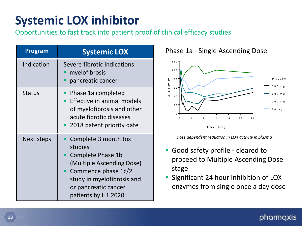## **Systemic LOX inhibitor**

Opportunities to fast track into patient proof of clinical efficacy studies

| Program       | <b>Systemic LOX</b>                                                                                                                                                                   |
|---------------|---------------------------------------------------------------------------------------------------------------------------------------------------------------------------------------|
| Indication    | Severe fibrotic indications<br>myelofibrosis<br>pancreatic cancer                                                                                                                     |
| <b>Status</b> | Phase 1a completed<br>Effective in animal models<br>of myelofibrosis and other<br>acute fibrotic diseases<br>2018 patent priority date                                                |
| Next steps    | Complete 3 month tox<br>studies<br>Complete Phase 1b<br>(Multiple Ascending Dose)<br>Commence phase 1c/2<br>study in myelofibrosis and<br>or pancreatic cancer<br>patients by H1 2020 |

### Phase 1a - Single Ascending Dose



*Dose dependent reduction in LOX activity in plasma*

- Good safety profile cleared to proceed to Multiple Ascending Dose stage
- **Significant 24 hour inhibition of LOX** enzymes from single once a day dose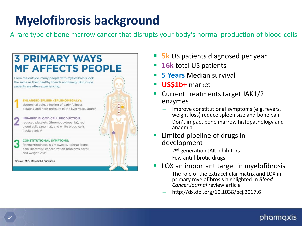# **Myelofibrosis background**

A rare type of bone marrow cancer that disrupts your body's normal production of blood cells

#### **3 PRIMARY WAYS MF AFFECTS PEOPLE** From the outside, many people with myelofibrosis look the same as their healthy friends and family. But inside, patients are often experiencing: **ENLARGED SPLEEN (SPLENOMEGALY):** abdominal pain, a feeling of early fullness, bloating and high pressure in the liver vasculature<sup>®</sup> IMPAIRED BLOOD CELL PRODUCTION: reduced platelets (thrombocytopenia), red blood cells (anemia), and white blood cells (leukopenia)<sup>9</sup> **CONSTITUTIONAL SYMPTOMS:** fatigue/tiredness, night sweats, itching, bone pain, inactivity, concentration problems, fever, and weight loss<sup>9</sup> Source: MPN Research Foundation

- **5k** US patients diagnosed per year
- **16k** total US patients
- **5 Years** Median survival
- **US\$1b+** market
- Current treatments target JAK1/2 enzymes
	- Improve constitutional symptoms (e.g. fevers, weight loss) reduce spleen size and bone pain
	- Don't impact bone marrow histopathology and anaemia
- **Limited pipeline of drugs in** development
	- 2<sup>nd</sup> generation JAK inhibitors
	- Few anti fibrotic drugs
- LOX an important target in myelofibrosis
	- The role of the extracellular matrix and LOX in primary myelofibrosis highlighted in *Blood Cancer Journal* review article
	- http://dx.doi.org/10.1038/bcj.2017.6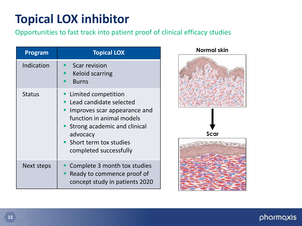## **Topical LOX inhibitor**

## Opportunities to fast track into patient proof of clinical efficacy studies

| Program       | <b>Topical LOX</b>                                                                                                                                                                                            |
|---------------|---------------------------------------------------------------------------------------------------------------------------------------------------------------------------------------------------------------|
| Indication    | <b>Scar revision</b><br><b>Keloid scarring</b><br><b>Burns</b>                                                                                                                                                |
| <b>Status</b> | Limited competition<br>Lead candidate selected<br>Improves scar appearance and<br>function in animal models<br>Strong academic and clinical<br>advocacy<br>• Short term tox studies<br>completed successfully |
| Next steps    | Complete 3 month tox studies<br>Ready to commence proof of<br>٠<br>concept study in patients 2020                                                                                                             |

#### **Normal skin**

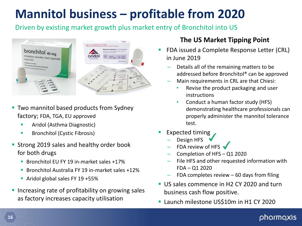## **Mannitol business – profitable from 2020**

Driven by existing market growth plus market entry of Bronchitol into US



- Two mannitol based products from Sydney factory; FDA, TGA, EU approved
	- Aridol (Asthma Diagnostic)
	- **Bronchitol (Cystic Fibrosis)**
- **Strong 2019 sales and healthy order book** for both drugs
	- Bronchitol EU FY 19 in-market sales +17%
	- **Bronchitol Australia FY 19 in-market sales +12%**
	- **Aridol global sales FY 19 +55%**
- **Increasing rate of profitability on growing sales** as factory increases capacity utilisation

### **The US Market Tipping Point**

- FDA issued a Complete Response Letter (CRL) in June 2019
	- Details all of the remaining matters to be addressed before Bronchitol® can be approved
	- Main requirements in CRL are that Chiesi:
		- Revise the product packaging and user instructions
		- Conduct a human factor study (HFS) demonstrating healthcare professionals can properly administer the mannitol tolerance test.
- Expected timing
	- Design HFS
	- FDA review of HFS
	- Completion of HFS Q1 2020
	- File HFS and other requested information with FDA – Q1 2020
	- FDA completes review  $-60$  days from filing
- US sales commence in H2 CY 2020 and turn business cash flow positive.
- **Launch milestone US\$10m in H1 CY 2020**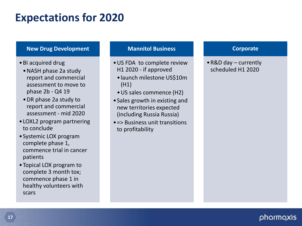## **Expectations for 2020**

#### **New Drug Development**

- •BI acquired drug
	- •NASH phase 2a study report and commercial assessment to move to phase 2b - Q4 19
	- •DR phase 2a study to report and commercial assessment - mid 2020
- •LOXL2 program partnering to conclude
- •Systemic LOX program complete phase 1, commence trial in cancer patients
- •Topical LOX program to complete 3 month tox; commence phase 1 in healthy volunteers with scars

#### **Mannitol Business**

- •US FDA to complete review H1 2020 - if approved
- •launch milestone US\$10m (H1)
- •US sales commence (H2)
- •Sales growth in existing and new territories expected (including Russia Russia)
- •=> Business unit transitions to profitability

#### **Corporate**

•R&D day – currently scheduled H1 2020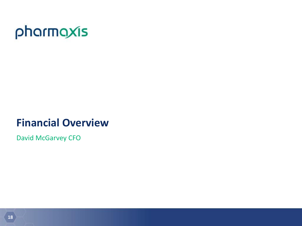

## **Financial Overview**

David McGarvey CFO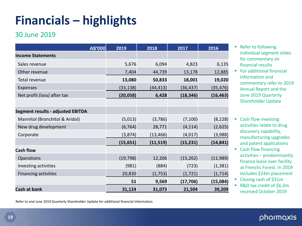## **Financials – highlights**

### 30 June 2019

| A\$'000                                  | 2019      | 2018      | 2017      | 2016      |
|------------------------------------------|-----------|-----------|-----------|-----------|
| <b>Income Statements</b>                 |           |           |           |           |
| Sales revenue                            | 5,676     | 6,094     | 4,823     | 6,135     |
| Other revenue                            | 7,404     | 44,739    | 13,178    | 12,885    |
| Total revenue                            | 13,080    | 50,833    | 18,001    | 19,020    |
| Expenses                                 | (33, 138) | (44, 413) | (36, 437) | (35, 476) |
| Net profit (loss) after tax              | (20, 058) | 6,428     | (18, 346) | (16, 463) |
|                                          |           |           |           |           |
| <b>Segment results - adjusted EBITDA</b> |           |           |           |           |
| Mannitol (Bronchitol & Aridol)           | (5,013)   | (3,786)   | (7, 100)  | (8, 228)  |
| New drug development                     | (6, 764)  | 28,771    | (4, 114)  | (2,625)   |
| Corporate                                | (3, 874)  | (13, 466) | (4, 017)  | (3,988)   |
|                                          | (15, 651) | (11, 519) | (15, 231) | (14, 841) |
| <b>Cash flow</b>                         |           |           |           |           |
| Operations                               | (19, 798) | 12,206    | (15, 262) | (11,989)  |
| Investing activities                     | (981)     | (884)     | (723)     | (1, 381)  |
| <b>Financing activities</b>              | 20,830    | (1,753)   | (1, 721)  | (1, 714)  |
|                                          | 51        | 9,569     | (17, 706) | (15,084)  |
| Cash at bank                             | 31,124    | 31,073    | 21,504    | 39,209    |

Refer to and June 2019 Quarterly Shareholder Update for additional financial information

- **Refer to following** individual segment slides for commentary on financial results
- For additional financial information and commentary refer to 2019 Annual Report and the June 2019 Quarterly Shareholder Update
- Cash flow investing activities relate to drug discovery capability, manufacturing upgrades and patent applications
- Cash flow financing activities – predominantly finance lease over facility at Frenchs Forest. In 2019 includes \$24m placement
- Closing cash of \$31m
- R&D tax credit of \$6.2m received October 2019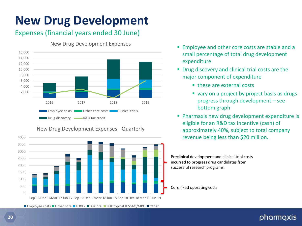# **New Drug Development**

## Expenses (financial years ended 30 June)



New Drug Development Expenses - Quarterly

New Drug Development Expenses

- **Employee and other core costs are stable and a** small percentage of total drug development expenditure
- **P** Drug discovery and clinical trial costs are the major component of expenditure
	- these are external costs
	- vary on a project by project basis as drugs progress through development – see bottom graph
- **Pharmaxis new drug development expenditure is** eligible for an R&D tax incentive (cash) of approximately 40%, subject to total company revenue being less than \$20 million.

Preclinical development and clinical trial costs incurred to progress drug candidates from successful research programs.



**■ Employee costs ■ Other core ■ LOXL2 ■ LOX oral ■ LOX topical ■ SSAO/MPO ■ Other**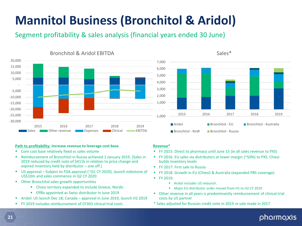# **Mannitol Business (Bronchitol & Aridol)**

**Revenue\***

**FY 2019:** 

builds inventory levels FY 2017: First sale to Russia

costs by US partner

**Aridol includes US relaunch.** 

Segment profitability & sales analysis (financial years ended 30 June)



#### **Path to profitability: increase revenue to leverage cost base**

- Core cost base relatively fixed vs sales volume
- Reimbursement of Bronchitol in Russia achieved 1 January 2019. (Sales in 2019 reduced by credit note of \$411k in relation to price change and expired inventory held by distributor – one off.)
- US approval Subject to FDA approval (~Q1 CY 2020), launch milestone of US\$10m and sales commence in Q2 CY 2020
- Other Bronchitol sales growth opportunities
	- Chiesi territory expanded to include Greece, Nordic
	- **EffRx appointed as Swiss distributor in June 2019**
- Aridol: US launch Dec 18; Canada approval in June 2019, launch H2 2019
- FY 2019 includes reimbursement of CF303 clinical trial costs



 FY 2015: Direct to pharmacy until June 15 (ie all sales revenue to PXS) FY 2016: EU sales via distributors at lower margin (~50%) to PXS. Chiesi

FY 2018: Growth in EU (Chiesi) & Australia (expanded PBS coverage)

**Major EU distributor order moved from H1 to H2 CY 2019** Other revenue in all years is predominantly reimbursement of clinical trial

pharmaxis

\* Sales adjusted for Russian credit note in 2019 re sale made in 2017

#### Sales\*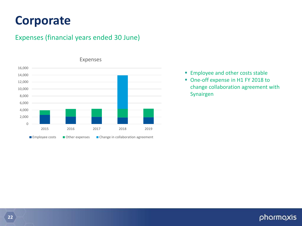## **Corporate**

### Expenses (financial years ended 30 June)



- - **Employee and other costs stable**
	- One-off expense in H1 FY 2018 to change collaboration agreement with Synairgen

### phormoxis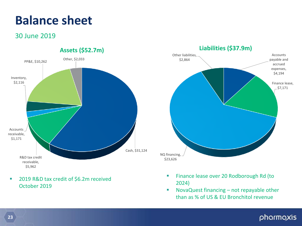## **Balance sheet**

### 30 June 2019



■ 2019 R&D tax credit of \$6.2m received October 2019



- **Finance lease over 20 Rodborough Rd (to** 2024)
- NovaQuest financing not repayable other than as % of US & EU Bronchitol revenue

### phormoxis